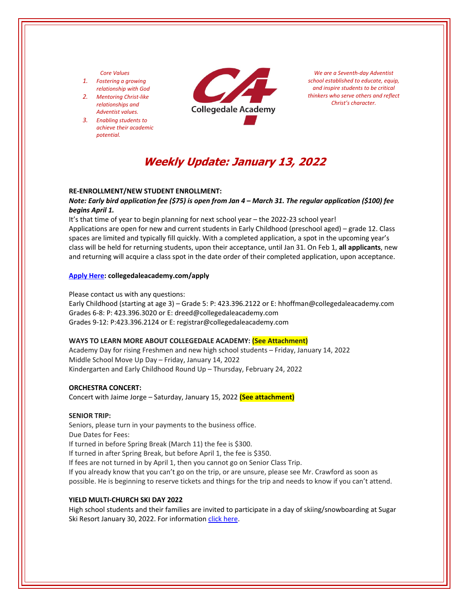## *Core Values*

- *1. Fostering a growing relationship with God*
- *2. Mentoring Christ‐like relationships and Adventist values.*
- *3. Enabling students to achieve their academic potential.*



*We are a Seventh‐day Adventist school established to educate, equip, and inspire students to be critical thinkers who serve others and reflect Christ's character.*

# **Weekly Update: January 13, 2022**

### **RE‐ENROLLMENT/NEW STUDENT ENROLLMENT:**

Note: Early bird application fee (\$75) is open from Jan 4 - March 31. The regular application (\$100) fee *begins April 1.*

It's that time of year to begin planning for next school year – the 2022‐23 school year! Applications are open for new and current students in Early Childhood (preschool aged) – grade 12. Class spaces are limited and typically fill quickly. With a completed application, a spot in the upcoming year's class will be held for returning students, upon their acceptance, until Jan 31. On Feb 1, **all applicants**, new and returning will acquire a class spot in the date order of their completed application, upon acceptance.

### **[Apply](https://www.collegedaleacademy.com/apply/) Here: collegedaleacademy.com/apply**

Please contact us with any questions:

Early Childhood (starting at age 3) – Grade 5: P: 423.396.2122 or E: hhoffman@collegedaleacademy.com Grades 6‐8: P: 423.396.3020 or E: dreed@collegedaleacademy.com Grades 9‐12: P:423.396.2124 or E: registrar@collegedaleacademy.com

#### **WAYS TO LEARN MORE ABOUT COLLEGEDALE ACADEMY: (See Attachment)**

Academy Day for rising Freshmen and new high school students – Friday, January 14, 2022 Middle School Move Up Day – Friday, January 14, 2022 Kindergarten and Early Childhood Round Up – Thursday, February 24, 2022

#### **ORCHESTRA CONCERT:**

Concert with Jaime Jorge – Saturday, January 15, 2022 **(See attachment)** 

#### **SENIOR TRIP:**

Seniors, please turn in your payments to the business office. Due Dates for Fees: If turned in before Spring Break (March 11) the fee is \$300. If turned in after Spring Break, but before April 1, the fee is \$350. If fees are not turned in by April 1, then you cannot go on Senior Class Trip. If you already know that you can't go on the trip, or are unsure, please see Mr. Crawford as soon as possible. He is beginning to reserve tickets and things for the trip and needs to know if you can't attend.

## **YIELD MULTI‐CHURCH SKI DAY 2022**

High school students and their families are invited to participate in a day of skiing/snowboarding at Sugar Ski Resort January 30, 2022. For information click [here.](https://collegedale.ccbchurch.com/goto/forms/155/responses/new)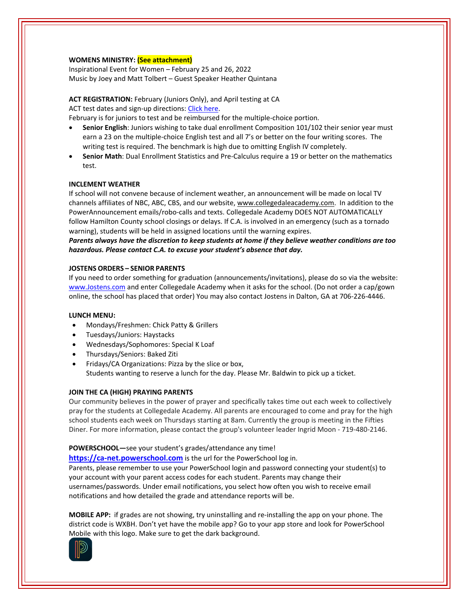# **WOMENS MINISTRY: (See attachment)**

Inspirational Event for Women – February 25 and 26, 2022 Music by Joey and Matt Tolbert – Guest Speaker Heather Quintana

**ACT REGISTRATION:** February (Juniors Only), and April testing at CA ACT test dates and sign-up directions: Click [here.](https://www.act.org/)

February is for juniors to test and be reimbursed for the multiple‐choice portion.

- **Senior English**: Juniors wishing to take dual enrollment Composition 101/102 their senior year must earn a 23 on the multiple-choice English test and all 7's or better on the four writing scores. The writing test is required. The benchmark is high due to omitting English IV completely.
- **Senior Math**: Dual Enrollment Statistics and Pre‐Calculus require a 19 or better on the mathematics test.

# **INCLEMENT WEATHER**

If school will not convene because of inclement weather, an announcement will be made on local TV channels affiliates of NBC, ABC, CBS, and our website, www.collegedaleacademy.com. In addition to the PowerAnnouncement emails/robo‐calls and texts. Collegedale Academy DOES NOT AUTOMATICALLY follow Hamilton County school closings or delays. If C.A. is involved in an emergency (such as a tornado warning), students will be held in assigned locations until the warning expires.

*Parents always have the discretion to keep students at home if they believe weather conditions are too hazardous. Please contact C.A. to excuse your student's absence that day.*

# **JOSTENS ORDERS – SENIOR PARENTS**

If you need to order something for graduation (announcements/invitations), please do so via the website: [www.Jostens.com](https://www.jostens.com/) and enter Collegedale Academy when it asks for the school. (Do not order a cap/gown online, the school has placed that order) You may also contact Jostens in Dalton, GA at 706‐226‐4446.

## **LUNCH MENU:**

- Mondays/Freshmen: Chick Patty & Grillers
- Tuesdays/Juniors: Haystacks
- Wednesdays/Sophomores: Special K Loaf
- Thursdays/Seniors: Baked Ziti
- Fridays/CA Organizations: Pizza by the slice or box, Students wanting to reserve a lunch for the day. Please Mr. Baldwin to pick up a ticket.

## **JOIN THE CA (HIGH) PRAYING PARENTS**

Our community believes in the power of prayer and specifically takes time out each week to collectively pray for the students at Collegedale Academy. All parents are encouraged to come and pray for the high school students each week on Thursdays starting at 8am. Currently the group is meeting in the Fifties Diner. For more information, please contact the group's volunteer leader Ingrid Moon ‐ 719‐480‐2146.

## **POWERSCHOOL—**see your student's grades/attendance any time!

**https://ca-[net.powerschool.com](https://ca-net.powerschool.com/public/)** is the url for the PowerSchool log in. Parents, please remember to use your PowerSchool login and password connecting your student(s) to your account with your parent access codes for each student. Parents may change their usernames/passwords. Under email notifications, you select how often you wish to receive email notifications and how detailed the grade and attendance reports will be.

**MOBILE APP:** if grades are not showing, try uninstalling and re‐installing the app on your phone. The district code is WXBH. Don't yet have the mobile app? Go to your app store and look for PowerSchool Mobile with this logo. Make sure to get the dark background.

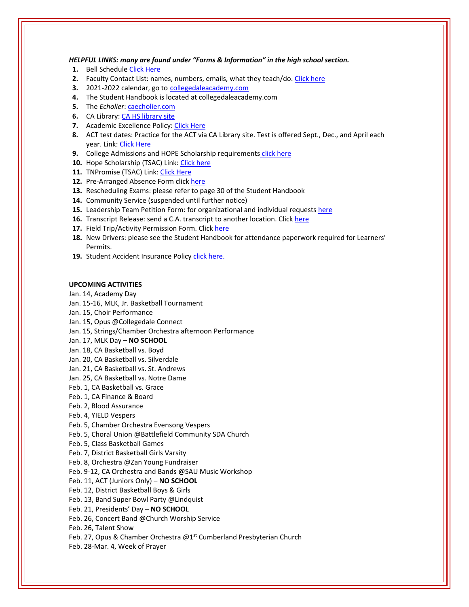*HELPFUL LINKS: many are found under "Forms & Information" in the high school section.*

- **1.** Bell Schedule Click [Here](https://www.collegedaleacademy.com/wp-content/uploads/2018/08/Bell-Schedule.pdf)
- **2.** Faculty Contact List: names, numbers, emails, what they teach/do. [Click](https://www.collegedaleacademy.com/wp-content/uploads/2021/08/faculty-only-2021-2022.pdf) here
- **3.** 2021‐2022 calendar, go to [collegedaleacademy.com](https://www.collegedaleacademy.com/calendars/)
- **4.** The Student Handbook is located at collegedaleacademy.com
- **5.** The *Echolier*: [caecholier.com](https://caecholier.com/)
- **6.** CA Library: CA HS [library](https://southernuniongcc.mlasolutions.com/m5/catalog/(S(syc5wvkivn1bsbiilonqprm5))/default.aspx?installation=CDA) site
- **7.** Academic Excellence Policy: Click [Here](https://www.collegedaleacademy.com/wp-content/uploads/2018/08/Academic-Excellence-Policy.pdf)
- **8.** ACT test dates: Practice for the ACT via CA Library site. Test is offered Sept., Dec., and April each year. Link: Click [Here](https://www.act.org/)
- **9.** College Admissions and HOPE Scholarship requirements click [here](https://www.collegedaleacademy.com/wp-content/uploads/2019/08/TSAC-Scholarship-Info.pdf)
- 10. Hope Scholarship (TSAC) Link: Click [here](https://www.tn.gov/collegepays/money-for-college/tn-education-lottery-programs/tennessee-hope-scholarship.html)
- 11. TNPromise (TSAC) Link: Click [Here](https://www.tn.gov/tnpromise.html)
- 12. Pre-Arranged Absence Form click [here](https://www.collegedaleacademy.com/wp-content/uploads/2016/11/Class-Absence-Request-Form-May-2017.pdf)
- **13.** Rescheduling Exams: please refer to page 30 of the Student Handbook
- **14.** Community Service (suspended until further notice)
- **15.** Leadership Team Petition Form: for organizational and individual requests [here](https://www.collegedaleacademy.com/wp-content/uploads/2019/08/Leadership-Petition-SSch.pdf)
- **16.** Transcript Release: send a C.A. transcript to another location. Click [here](https://collegedaleacademy.wufoo.com/forms/q1bmc4gg10gftjs/)
- **17.** Field Trip/Activity Permission Form. Click [here](https://www.collegedaleacademy.com/wp-content/uploads/2018/08/Field-Trip-form.pdf)
- **18.** New Drivers: please see the Student Handbook for attendance paperwork required for Learners' Permits.
- 19. Student Accident Insurance Policy click [here.](https://adventistrisk.org/en-us/insurance/nad/k-12-student-accident)

# **UPCOMING ACTIVITIES**

- Jan. 14, Academy Day
- Jan. 15‐16, MLK, Jr. Basketball Tournament
- Jan. 15, Choir Performance
- Jan. 15, Opus @Collegedale Connect
- Jan. 15, Strings/Chamber Orchestra afternoon Performance
- Jan. 17, MLK Day **NO SCHOOL**
- Jan. 18, CA Basketball vs. Boyd
- Jan. 20, CA Basketball vs. Silverdale
- Jan. 21, CA Basketball vs. St. Andrews
- Jan. 25, CA Basketball vs. Notre Dame
- Feb. 1, CA Basketball vs. Grace
- Feb. 1, CA Finance & Board
- Feb. 2, Blood Assurance
- Feb. 4, YIELD Vespers
- Feb. 5, Chamber Orchestra Evensong Vespers
- Feb. 5, Choral Union @Battlefield Community SDA Church
- Feb. 5, Class Basketball Games
- Feb. 7, District Basketball Girls Varsity
- Feb. 8, Orchestra @Zan Young Fundraiser
- Feb. 9‐12, CA Orchestra and Bands @SAU Music Workshop
- Feb. 11, ACT (Juniors Only) **NO SCHOOL**
- Feb. 12, District Basketball Boys & Girls
- Feb. 13, Band Super Bowl Party @Lindquist
- Feb. 21, Presidents' Day **NO SCHOOL**
- Feb. 26, Concert Band @Church Worship Service
- Feb. 26, Talent Show
- Feb. 27, Opus & Chamber Orchestra @1<sup>st</sup> Cumberland Presbyterian Church
- Feb. 28‐Mar. 4, Week of Prayer